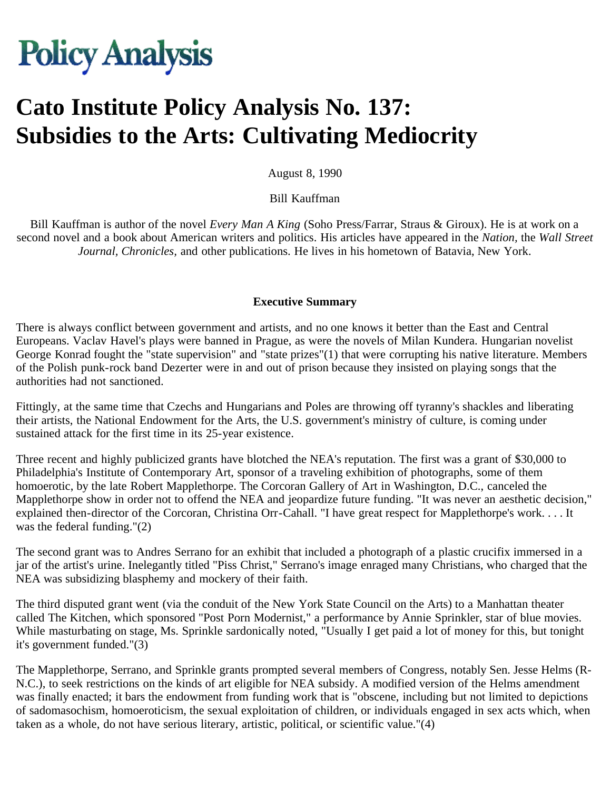# **Policy Analysis**

# **Cato Institute Policy Analysis No. 137: Subsidies to the Arts: Cultivating Mediocrity**

August 8, 1990

Bill Kauffman

Bill Kauffman is author of the novel *Every Man A King* (Soho Press/Farrar, Straus & Giroux). He is at work on a second novel and a book about American writers and politics. His articles have appeared in the *Nation,* the *Wall Street Journal, Chronicles,* and other publications. He lives in his hometown of Batavia, New York.

#### **Executive Summary**

There is always conflict between government and artists, and no one knows it better than the East and Central Europeans. Vaclav Havel's plays were banned in Prague, as were the novels of Milan Kundera. Hungarian novelist George Konrad fought the "state supervision" and "state prizes"(1) that were corrupting his native literature. Members of the Polish punk-rock band Dezerter were in and out of prison because they insisted on playing songs that the authorities had not sanctioned.

Fittingly, at the same time that Czechs and Hungarians and Poles are throwing off tyranny's shackles and liberating their artists, the National Endowment for the Arts, the U.S. government's ministry of culture, is coming under sustained attack for the first time in its 25-year existence.

Three recent and highly publicized grants have blotched the NEA's reputation. The first was a grant of \$30,000 to Philadelphia's Institute of Contemporary Art, sponsor of a traveling exhibition of photographs, some of them homoerotic, by the late Robert Mapplethorpe. The Corcoran Gallery of Art in Washington, D.C., canceled the Mapplethorpe show in order not to offend the NEA and jeopardize future funding. "It was never an aesthetic decision," explained then-director of the Corcoran, Christina Orr-Cahall. "I have great respect for Mapplethorpe's work. . . . It was the federal funding."(2)

The second grant was to Andres Serrano for an exhibit that included a photograph of a plastic crucifix immersed in a jar of the artist's urine. Inelegantly titled "Piss Christ," Serrano's image enraged many Christians, who charged that the NEA was subsidizing blasphemy and mockery of their faith.

The third disputed grant went (via the conduit of the New York State Council on the Arts) to a Manhattan theater called The Kitchen, which sponsored "Post Porn Modernist," a performance by Annie Sprinkler, star of blue movies. While masturbating on stage, Ms. Sprinkle sardonically noted, "Usually I get paid a lot of money for this, but tonight it's government funded."(3)

The Mapplethorpe, Serrano, and Sprinkle grants prompted several members of Congress, notably Sen. Jesse Helms (R-N.C.), to seek restrictions on the kinds of art eligible for NEA subsidy. A modified version of the Helms amendment was finally enacted; it bars the endowment from funding work that is "obscene, including but not limited to depictions of sadomasochism, homoeroticism, the sexual exploitation of children, or individuals engaged in sex acts which, when taken as a whole, do not have serious literary, artistic, political, or scientific value."(4)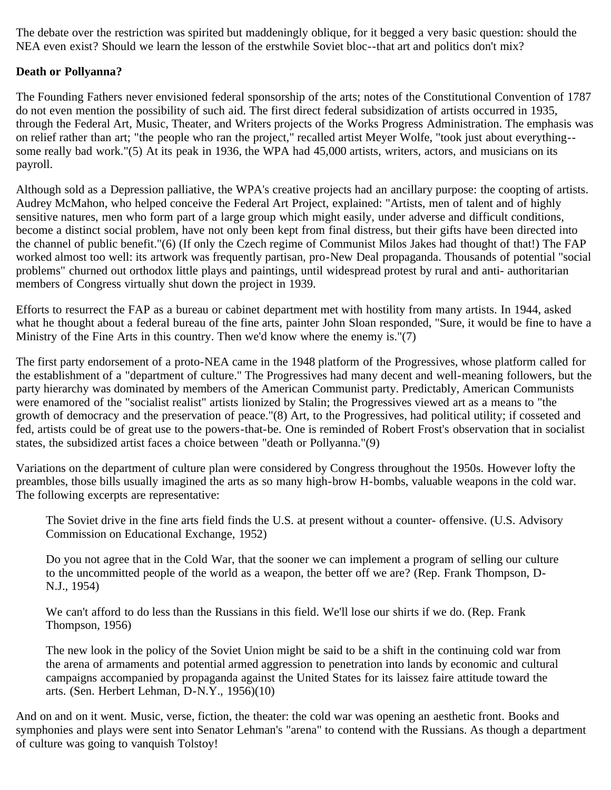The debate over the restriction was spirited but maddeningly oblique, for it begged a very basic question: should the NEA even exist? Should we learn the lesson of the erstwhile Soviet bloc--that art and politics don't mix?

# **Death or Pollyanna?**

The Founding Fathers never envisioned federal sponsorship of the arts; notes of the Constitutional Convention of 1787 do not even mention the possibility of such aid. The first direct federal subsidization of artists occurred in 1935, through the Federal Art, Music, Theater, and Writers projects of the Works Progress Administration. The emphasis was on relief rather than art; "the people who ran the project," recalled artist Meyer Wolfe, "took just about everything- some really bad work."(5) At its peak in 1936, the WPA had 45,000 artists, writers, actors, and musicians on its payroll.

Although sold as a Depression palliative, the WPA's creative projects had an ancillary purpose: the coopting of artists. Audrey McMahon, who helped conceive the Federal Art Project, explained: "Artists, men of talent and of highly sensitive natures, men who form part of a large group which might easily, under adverse and difficult conditions, become a distinct social problem, have not only been kept from final distress, but their gifts have been directed into the channel of public benefit."(6) (If only the Czech regime of Communist Milos Jakes had thought of that!) The FAP worked almost too well: its artwork was frequently partisan, pro-New Deal propaganda. Thousands of potential "social problems" churned out orthodox little plays and paintings, until widespread protest by rural and anti- authoritarian members of Congress virtually shut down the project in 1939.

Efforts to resurrect the FAP as a bureau or cabinet department met with hostility from many artists. In 1944, asked what he thought about a federal bureau of the fine arts, painter John Sloan responded, "Sure, it would be fine to have a Ministry of the Fine Arts in this country. Then we'd know where the enemy is."(7)

The first party endorsement of a proto-NEA came in the 1948 platform of the Progressives, whose platform called for the establishment of a "department of culture." The Progressives had many decent and well-meaning followers, but the party hierarchy was dominated by members of the American Communist party. Predictably, American Communists were enamored of the "socialist realist" artists lionized by Stalin; the Progressives viewed art as a means to "the growth of democracy and the preservation of peace."(8) Art, to the Progressives, had political utility; if cosseted and fed, artists could be of great use to the powers-that-be. One is reminded of Robert Frost's observation that in socialist states, the subsidized artist faces a choice between "death or Pollyanna."(9)

Variations on the department of culture plan were considered by Congress throughout the 1950s. However lofty the preambles, those bills usually imagined the arts as so many high-brow H-bombs, valuable weapons in the cold war. The following excerpts are representative:

The Soviet drive in the fine arts field finds the U.S. at present without a counter- offensive. (U.S. Advisory Commission on Educational Exchange, 1952)

Do you not agree that in the Cold War, that the sooner we can implement a program of selling our culture to the uncommitted people of the world as a weapon, the better off we are? (Rep. Frank Thompson, D-N.J., 1954)

We can't afford to do less than the Russians in this field. We'll lose our shirts if we do. (Rep. Frank Thompson, 1956)

The new look in the policy of the Soviet Union might be said to be a shift in the continuing cold war from the arena of armaments and potential armed aggression to penetration into lands by economic and cultural campaigns accompanied by propaganda against the United States for its laissez faire attitude toward the arts. (Sen. Herbert Lehman, D-N.Y., 1956)(10)

And on and on it went. Music, verse, fiction, the theater: the cold war was opening an aesthetic front. Books and symphonies and plays were sent into Senator Lehman's "arena" to contend with the Russians. As though a department of culture was going to vanquish Tolstoy!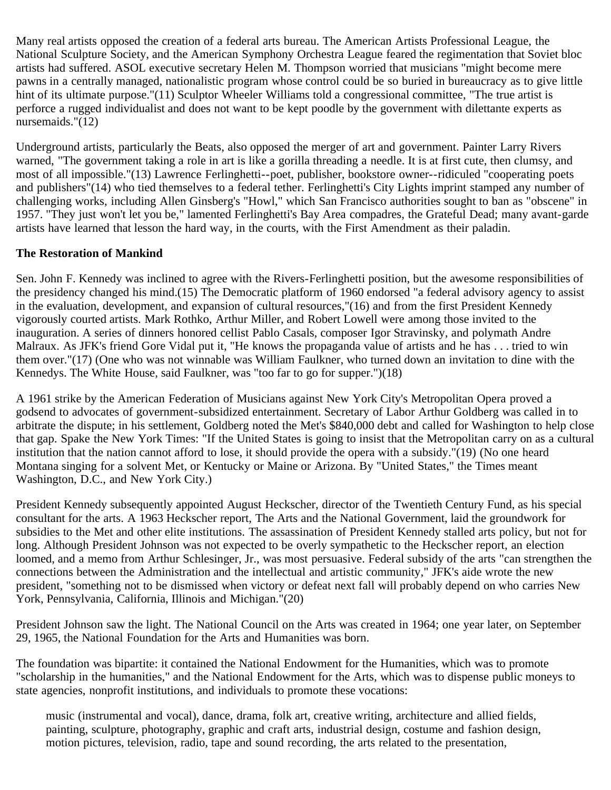Many real artists opposed the creation of a federal arts bureau. The American Artists Professional League, the National Sculpture Society, and the American Symphony Orchestra League feared the regimentation that Soviet bloc artists had suffered. ASOL executive secretary Helen M. Thompson worried that musicians "might become mere pawns in a centrally managed, nationalistic program whose control could be so buried in bureaucracy as to give little hint of its ultimate purpose."(11) Sculptor Wheeler Williams told a congressional committee, "The true artist is perforce a rugged individualist and does not want to be kept poodle by the government with dilettante experts as nursemaids."(12)

Underground artists, particularly the Beats, also opposed the merger of art and government. Painter Larry Rivers warned, "The government taking a role in art is like a gorilla threading a needle. It is at first cute, then clumsy, and most of all impossible."(13) Lawrence Ferlinghetti--poet, publisher, bookstore owner--ridiculed "cooperating poets and publishers"(14) who tied themselves to a federal tether. Ferlinghetti's City Lights imprint stamped any number of challenging works, including Allen Ginsberg's "Howl," which San Francisco authorities sought to ban as "obscene" in 1957. "They just won't let you be," lamented Ferlinghetti's Bay Area compadres, the Grateful Dead; many avant-garde artists have learned that lesson the hard way, in the courts, with the First Amendment as their paladin.

#### **The Restoration of Mankind**

Sen. John F. Kennedy was inclined to agree with the Rivers-Ferlinghetti position, but the awesome responsibilities of the presidency changed his mind.(15) The Democratic platform of 1960 endorsed "a federal advisory agency to assist in the evaluation, development, and expansion of cultural resources,"(16) and from the first President Kennedy vigorously courted artists. Mark Rothko, Arthur Miller, and Robert Lowell were among those invited to the inauguration. A series of dinners honored cellist Pablo Casals, composer Igor Stravinsky, and polymath Andre Malraux. As JFK's friend Gore Vidal put it, "He knows the propaganda value of artists and he has . . . tried to win them over."(17) (One who was not winnable was William Faulkner, who turned down an invitation to dine with the Kennedys. The White House, said Faulkner, was "too far to go for supper.")(18)

A 1961 strike by the American Federation of Musicians against New York City's Metropolitan Opera proved a godsend to advocates of government-subsidized entertainment. Secretary of Labor Arthur Goldberg was called in to arbitrate the dispute; in his settlement, Goldberg noted the Met's \$840,000 debt and called for Washington to help close that gap. Spake the New York Times: "If the United States is going to insist that the Metropolitan carry on as a cultural institution that the nation cannot afford to lose, it should provide the opera with a subsidy."(19) (No one heard Montana singing for a solvent Met, or Kentucky or Maine or Arizona. By "United States," the Times meant Washington, D.C., and New York City.)

President Kennedy subsequently appointed August Heckscher, director of the Twentieth Century Fund, as his special consultant for the arts. A 1963 Heckscher report, The Arts and the National Government, laid the groundwork for subsidies to the Met and other elite institutions. The assassination of President Kennedy stalled arts policy, but not for long. Although President Johnson was not expected to be overly sympathetic to the Heckscher report, an election loomed, and a memo from Arthur Schlesinger, Jr., was most persuasive. Federal subsidy of the arts "can strengthen the connections between the Administration and the intellectual and artistic community," JFK's aide wrote the new president, "something not to be dismissed when victory or defeat next fall will probably depend on who carries New York, Pennsylvania, California, Illinois and Michigan."(20)

President Johnson saw the light. The National Council on the Arts was created in 1964; one year later, on September 29, 1965, the National Foundation for the Arts and Humanities was born.

The foundation was bipartite: it contained the National Endowment for the Humanities, which was to promote "scholarship in the humanities," and the National Endowment for the Arts, which was to dispense public moneys to state agencies, nonprofit institutions, and individuals to promote these vocations:

music (instrumental and vocal), dance, drama, folk art, creative writing, architecture and allied fields, painting, sculpture, photography, graphic and craft arts, industrial design, costume and fashion design, motion pictures, television, radio, tape and sound recording, the arts related to the presentation,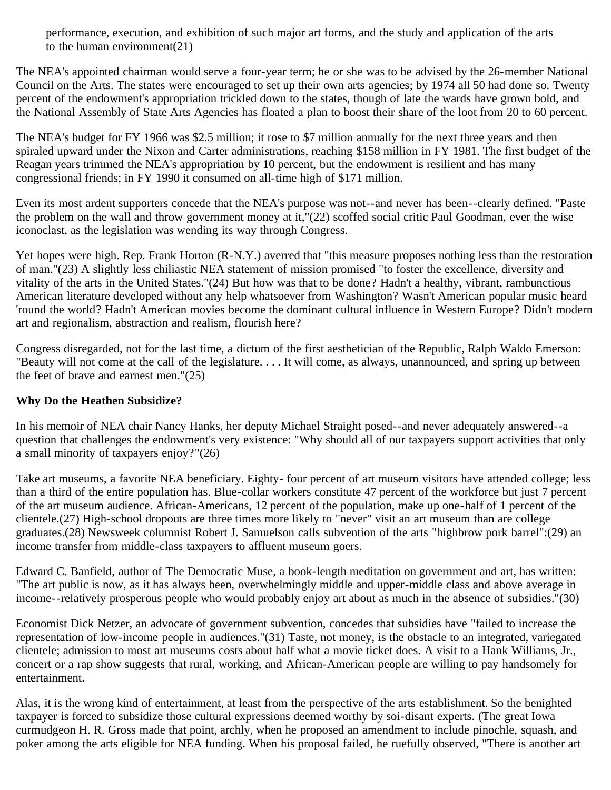performance, execution, and exhibition of such major art forms, and the study and application of the arts to the human environment(21)

The NEA's appointed chairman would serve a four-year term; he or she was to be advised by the 26-member National Council on the Arts. The states were encouraged to set up their own arts agencies; by 1974 all 50 had done so. Twenty percent of the endowment's appropriation trickled down to the states, though of late the wards have grown bold, and the National Assembly of State Arts Agencies has floated a plan to boost their share of the loot from 20 to 60 percent.

The NEA's budget for FY 1966 was \$2.5 million; it rose to \$7 million annually for the next three years and then spiraled upward under the Nixon and Carter administrations, reaching \$158 million in FY 1981. The first budget of the Reagan years trimmed the NEA's appropriation by 10 percent, but the endowment is resilient and has many congressional friends; in FY 1990 it consumed on all-time high of \$171 million.

Even its most ardent supporters concede that the NEA's purpose was not--and never has been--clearly defined. "Paste the problem on the wall and throw government money at it,"(22) scoffed social critic Paul Goodman, ever the wise iconoclast, as the legislation was wending its way through Congress.

Yet hopes were high. Rep. Frank Horton (R-N.Y.) averred that "this measure proposes nothing less than the restoration of man."(23) A slightly less chiliastic NEA statement of mission promised "to foster the excellence, diversity and vitality of the arts in the United States."(24) But how was that to be done? Hadn't a healthy, vibrant, rambunctious American literature developed without any help whatsoever from Washington? Wasn't American popular music heard 'round the world? Hadn't American movies become the dominant cultural influence in Western Europe? Didn't modern art and regionalism, abstraction and realism, flourish here?

Congress disregarded, not for the last time, a dictum of the first aesthetician of the Republic, Ralph Waldo Emerson: "Beauty will not come at the call of the legislature. . . . It will come, as always, unannounced, and spring up between the feet of brave and earnest men."(25)

# **Why Do the Heathen Subsidize?**

In his memoir of NEA chair Nancy Hanks, her deputy Michael Straight posed--and never adequately answered--a question that challenges the endowment's very existence: "Why should all of our taxpayers support activities that only a small minority of taxpayers enjoy?"(26)

Take art museums, a favorite NEA beneficiary. Eighty- four percent of art museum visitors have attended college; less than a third of the entire population has. Blue-collar workers constitute 47 percent of the workforce but just 7 percent of the art museum audience. African-Americans, 12 percent of the population, make up one-half of 1 percent of the clientele.(27) High-school dropouts are three times more likely to "never" visit an art museum than are college graduates.(28) Newsweek columnist Robert J. Samuelson calls subvention of the arts "highbrow pork barrel":(29) an income transfer from middle-class taxpayers to affluent museum goers.

Edward C. Banfield, author of The Democratic Muse, a book-length meditation on government and art, has written: "The art public is now, as it has always been, overwhelmingly middle and upper-middle class and above average in income--relatively prosperous people who would probably enjoy art about as much in the absence of subsidies."(30)

Economist Dick Netzer, an advocate of government subvention, concedes that subsidies have "failed to increase the representation of low-income people in audiences."(31) Taste, not money, is the obstacle to an integrated, variegated clientele; admission to most art museums costs about half what a movie ticket does. A visit to a Hank Williams, Jr., concert or a rap show suggests that rural, working, and African-American people are willing to pay handsomely for entertainment.

Alas, it is the wrong kind of entertainment, at least from the perspective of the arts establishment. So the benighted taxpayer is forced to subsidize those cultural expressions deemed worthy by soi-disant experts. (The great Iowa curmudgeon H. R. Gross made that point, archly, when he proposed an amendment to include pinochle, squash, and poker among the arts eligible for NEA funding. When his proposal failed, he ruefully observed, "There is another art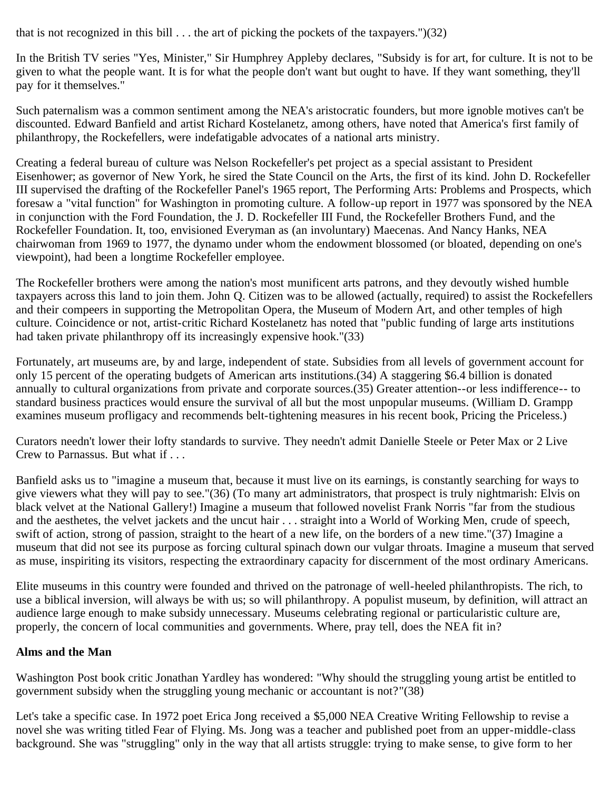that is not recognized in this bill  $\dots$  the art of picking the pockets of the taxpayers.")(32)

In the British TV series "Yes, Minister," Sir Humphrey Appleby declares, "Subsidy is for art, for culture. It is not to be given to what the people want. It is for what the people don't want but ought to have. If they want something, they'll pay for it themselves."

Such paternalism was a common sentiment among the NEA's aristocratic founders, but more ignoble motives can't be discounted. Edward Banfield and artist Richard Kostelanetz, among others, have noted that America's first family of philanthropy, the Rockefellers, were indefatigable advocates of a national arts ministry.

Creating a federal bureau of culture was Nelson Rockefeller's pet project as a special assistant to President Eisenhower; as governor of New York, he sired the State Council on the Arts, the first of its kind. John D. Rockefeller III supervised the drafting of the Rockefeller Panel's 1965 report, The Performing Arts: Problems and Prospects, which foresaw a "vital function" for Washington in promoting culture. A follow-up report in 1977 was sponsored by the NEA in conjunction with the Ford Foundation, the J. D. Rockefeller III Fund, the Rockefeller Brothers Fund, and the Rockefeller Foundation. It, too, envisioned Everyman as (an involuntary) Maecenas. And Nancy Hanks, NEA chairwoman from 1969 to 1977, the dynamo under whom the endowment blossomed (or bloated, depending on one's viewpoint), had been a longtime Rockefeller employee.

The Rockefeller brothers were among the nation's most munificent arts patrons, and they devoutly wished humble taxpayers across this land to join them. John Q. Citizen was to be allowed (actually, required) to assist the Rockefellers and their compeers in supporting the Metropolitan Opera, the Museum of Modern Art, and other temples of high culture. Coincidence or not, artist-critic Richard Kostelanetz has noted that "public funding of large arts institutions had taken private philanthropy off its increasingly expensive hook."(33)

Fortunately, art museums are, by and large, independent of state. Subsidies from all levels of government account for only 15 percent of the operating budgets of American arts institutions.(34) A staggering \$6.4 billion is donated annually to cultural organizations from private and corporate sources.(35) Greater attention--or less indifference-- to standard business practices would ensure the survival of all but the most unpopular museums. (William D. Grampp examines museum profligacy and recommends belt-tightening measures in his recent book, Pricing the Priceless.)

Curators needn't lower their lofty standards to survive. They needn't admit Danielle Steele or Peter Max or 2 Live Crew to Parnassus. But what if . . .

Banfield asks us to "imagine a museum that, because it must live on its earnings, is constantly searching for ways to give viewers what they will pay to see."(36) (To many art administrators, that prospect is truly nightmarish: Elvis on black velvet at the National Gallery!) Imagine a museum that followed novelist Frank Norris "far from the studious and the aesthetes, the velvet jackets and the uncut hair . . . straight into a World of Working Men, crude of speech, swift of action, strong of passion, straight to the heart of a new life, on the borders of a new time."(37) Imagine a museum that did not see its purpose as forcing cultural spinach down our vulgar throats. Imagine a museum that served as muse, inspiriting its visitors, respecting the extraordinary capacity for discernment of the most ordinary Americans.

Elite museums in this country were founded and thrived on the patronage of well-heeled philanthropists. The rich, to use a biblical inversion, will always be with us; so will philanthropy. A populist museum, by definition, will attract an audience large enough to make subsidy unnecessary. Museums celebrating regional or particularistic culture are, properly, the concern of local communities and governments. Where, pray tell, does the NEA fit in?

### **Alms and the Man**

Washington Post book critic Jonathan Yardley has wondered: "Why should the struggling young artist be entitled to government subsidy when the struggling young mechanic or accountant is not?"(38)

Let's take a specific case. In 1972 poet Erica Jong received a \$5,000 NEA Creative Writing Fellowship to revise a novel she was writing titled Fear of Flying. Ms. Jong was a teacher and published poet from an upper-middle-class background. She was "struggling" only in the way that all artists struggle: trying to make sense, to give form to her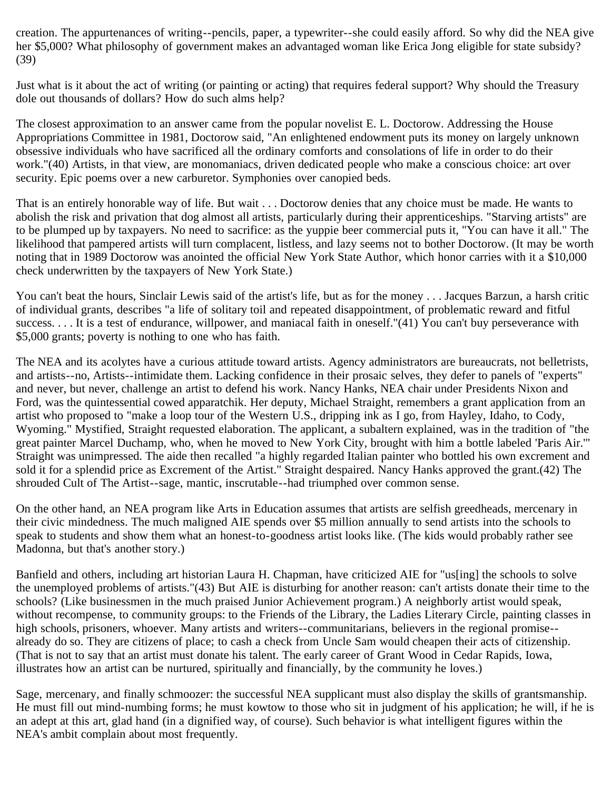creation. The appurtenances of writing--pencils, paper, a typewriter--she could easily afford. So why did the NEA give her \$5,000? What philosophy of government makes an advantaged woman like Erica Jong eligible for state subsidy? (39)

Just what is it about the act of writing (or painting or acting) that requires federal support? Why should the Treasury dole out thousands of dollars? How do such alms help?

The closest approximation to an answer came from the popular novelist E. L. Doctorow. Addressing the House Appropriations Committee in 1981, Doctorow said, "An enlightened endowment puts its money on largely unknown obsessive individuals who have sacrificed all the ordinary comforts and consolations of life in order to do their work."(40) Artists, in that view, are monomaniacs, driven dedicated people who make a conscious choice: art over security. Epic poems over a new carburetor. Symphonies over canopied beds.

That is an entirely honorable way of life. But wait . . . Doctorow denies that any choice must be made. He wants to abolish the risk and privation that dog almost all artists, particularly during their apprenticeships. "Starving artists" are to be plumped up by taxpayers. No need to sacrifice: as the yuppie beer commercial puts it, "You can have it all." The likelihood that pampered artists will turn complacent, listless, and lazy seems not to bother Doctorow. (It may be worth noting that in 1989 Doctorow was anointed the official New York State Author, which honor carries with it a \$10,000 check underwritten by the taxpayers of New York State.)

You can't beat the hours, Sinclair Lewis said of the artist's life, but as for the money . . . Jacques Barzun, a harsh critic of individual grants, describes "a life of solitary toil and repeated disappointment, of problematic reward and fitful success. . . . It is a test of endurance, willpower, and maniacal faith in oneself."(41) You can't buy perseverance with \$5,000 grants; poverty is nothing to one who has faith.

The NEA and its acolytes have a curious attitude toward artists. Agency administrators are bureaucrats, not belletrists, and artists--no, Artists--intimidate them. Lacking confidence in their prosaic selves, they defer to panels of "experts" and never, but never, challenge an artist to defend his work. Nancy Hanks, NEA chair under Presidents Nixon and Ford, was the quintessential cowed apparatchik. Her deputy, Michael Straight, remembers a grant application from an artist who proposed to "make a loop tour of the Western U.S., dripping ink as I go, from Hayley, Idaho, to Cody, Wyoming." Mystified, Straight requested elaboration. The applicant, a subaltern explained, was in the tradition of "the great painter Marcel Duchamp, who, when he moved to New York City, brought with him a bottle labeled 'Paris Air.'" Straight was unimpressed. The aide then recalled "a highly regarded Italian painter who bottled his own excrement and sold it for a splendid price as Excrement of the Artist." Straight despaired. Nancy Hanks approved the grant.(42) The shrouded Cult of The Artist--sage, mantic, inscrutable--had triumphed over common sense.

On the other hand, an NEA program like Arts in Education assumes that artists are selfish greedheads, mercenary in their civic mindedness. The much maligned AIE spends over \$5 million annually to send artists into the schools to speak to students and show them what an honest-to-goodness artist looks like. (The kids would probably rather see Madonna, but that's another story.)

Banfield and others, including art historian Laura H. Chapman, have criticized AIE for "us[ing] the schools to solve the unemployed problems of artists."(43) But AIE is disturbing for another reason: can't artists donate their time to the schools? (Like businessmen in the much praised Junior Achievement program.) A neighborly artist would speak, without recompense, to community groups: to the Friends of the Library, the Ladies Literary Circle, painting classes in high schools, prisoners, whoever. Many artists and writers--communitarians, believers in the regional promise- already do so. They are citizens of place; to cash a check from Uncle Sam would cheapen their acts of citizenship. (That is not to say that an artist must donate his talent. The early career of Grant Wood in Cedar Rapids, Iowa, illustrates how an artist can be nurtured, spiritually and financially, by the community he loves.)

Sage, mercenary, and finally schmoozer: the successful NEA supplicant must also display the skills of grantsmanship. He must fill out mind-numbing forms; he must kowtow to those who sit in judgment of his application; he will, if he is an adept at this art, glad hand (in a dignified way, of course). Such behavior is what intelligent figures within the NEA's ambit complain about most frequently.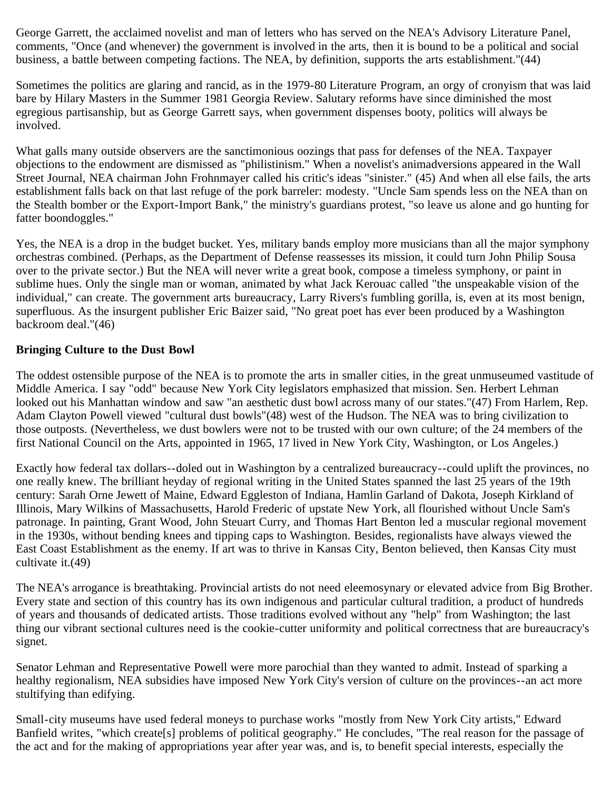George Garrett, the acclaimed novelist and man of letters who has served on the NEA's Advisory Literature Panel, comments, "Once (and whenever) the government is involved in the arts, then it is bound to be a political and social business, a battle between competing factions. The NEA, by definition, supports the arts establishment."(44)

Sometimes the politics are glaring and rancid, as in the 1979-80 Literature Program, an orgy of cronyism that was laid bare by Hilary Masters in the Summer 1981 Georgia Review. Salutary reforms have since diminished the most egregious partisanship, but as George Garrett says, when government dispenses booty, politics will always be involved.

What galls many outside observers are the sanctimonious oozings that pass for defenses of the NEA. Taxpayer objections to the endowment are dismissed as "philistinism." When a novelist's animadversions appeared in the Wall Street Journal, NEA chairman John Frohnmayer called his critic's ideas "sinister." (45) And when all else fails, the arts establishment falls back on that last refuge of the pork barreler: modesty. "Uncle Sam spends less on the NEA than on the Stealth bomber or the Export-Import Bank," the ministry's guardians protest, "so leave us alone and go hunting for fatter boondoggles."

Yes, the NEA is a drop in the budget bucket. Yes, military bands employ more musicians than all the major symphony orchestras combined. (Perhaps, as the Department of Defense reassesses its mission, it could turn John Philip Sousa over to the private sector.) But the NEA will never write a great book, compose a timeless symphony, or paint in sublime hues. Only the single man or woman, animated by what Jack Kerouac called "the unspeakable vision of the individual," can create. The government arts bureaucracy, Larry Rivers's fumbling gorilla, is, even at its most benign, superfluous. As the insurgent publisher Eric Baizer said, "No great poet has ever been produced by a Washington backroom deal."(46)

### **Bringing Culture to the Dust Bowl**

The oddest ostensible purpose of the NEA is to promote the arts in smaller cities, in the great unmuseumed vastitude of Middle America. I say "odd" because New York City legislators emphasized that mission. Sen. Herbert Lehman looked out his Manhattan window and saw "an aesthetic dust bowl across many of our states."(47) From Harlem, Rep. Adam Clayton Powell viewed "cultural dust bowls"(48) west of the Hudson. The NEA was to bring civilization to those outposts. (Nevertheless, we dust bowlers were not to be trusted with our own culture; of the 24 members of the first National Council on the Arts, appointed in 1965, 17 lived in New York City, Washington, or Los Angeles.)

Exactly how federal tax dollars--doled out in Washington by a centralized bureaucracy--could uplift the provinces, no one really knew. The brilliant heyday of regional writing in the United States spanned the last 25 years of the 19th century: Sarah Orne Jewett of Maine, Edward Eggleston of Indiana, Hamlin Garland of Dakota, Joseph Kirkland of Illinois, Mary Wilkins of Massachusetts, Harold Frederic of upstate New York, all flourished without Uncle Sam's patronage. In painting, Grant Wood, John Steuart Curry, and Thomas Hart Benton led a muscular regional movement in the 1930s, without bending knees and tipping caps to Washington. Besides, regionalists have always viewed the East Coast Establishment as the enemy. If art was to thrive in Kansas City, Benton believed, then Kansas City must cultivate it.(49)

The NEA's arrogance is breathtaking. Provincial artists do not need eleemosynary or elevated advice from Big Brother. Every state and section of this country has its own indigenous and particular cultural tradition, a product of hundreds of years and thousands of dedicated artists. Those traditions evolved without any "help" from Washington; the last thing our vibrant sectional cultures need is the cookie-cutter uniformity and political correctness that are bureaucracy's signet.

Senator Lehman and Representative Powell were more parochial than they wanted to admit. Instead of sparking a healthy regionalism, NEA subsidies have imposed New York City's version of culture on the provinces--an act more stultifying than edifying.

Small-city museums have used federal moneys to purchase works "mostly from New York City artists," Edward Banfield writes, "which create[s] problems of political geography." He concludes, "The real reason for the passage of the act and for the making of appropriations year after year was, and is, to benefit special interests, especially the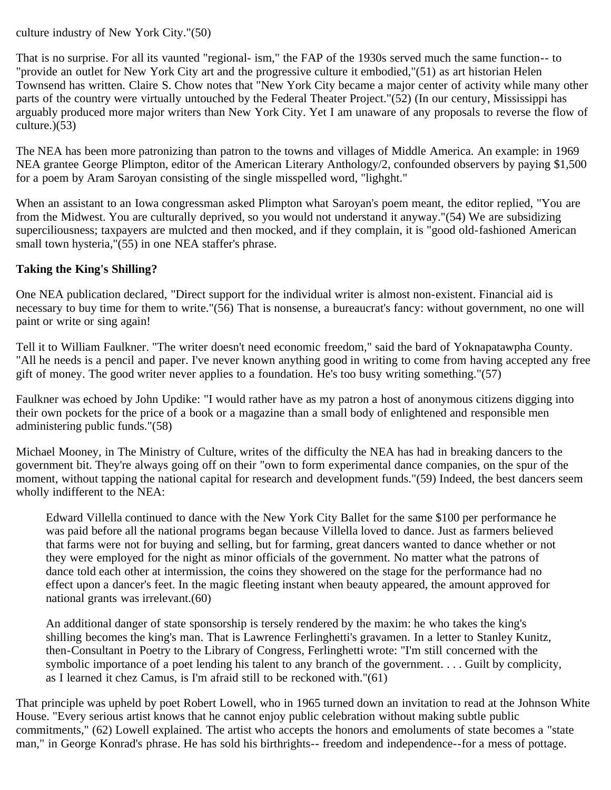culture industry of New York City."(50)

That is no surprise. For all its vaunted "regional- ism," the FAP of the 1930s served much the same function-- to "provide an outlet for New York City art and the progressive culture it embodied,"(51) as art historian Helen Townsend has written. Claire S. Chow notes that "New York City became a major center of activity while many other parts of the country were virtually untouched by the Federal Theater Project."(52) (In our century, Mississippi has arguably produced more major writers than New York City. Yet I am unaware of any proposals to reverse the flow of culture.)(53)

The NEA has been more patronizing than patron to the towns and villages of Middle America. An example: in 1969 NEA grantee George Plimpton, editor of the American Literary Anthology/2, confounded observers by paying \$1,500 for a poem by Aram Saroyan consisting of the single misspelled word, "lighght."

When an assistant to an Iowa congressman asked Plimpton what Saroyan's poem meant, the editor replied, "You are from the Midwest. You are culturally deprived, so you would not understand it anyway."(54) We are subsidizing superciliousness; taxpayers are mulcted and then mocked, and if they complain, it is "good old-fashioned American small town hysteria,"(55) in one NEA staffer's phrase.

# **Taking the King's Shilling?**

One NEA publication declared, "Direct support for the individual writer is almost non-existent. Financial aid is necessary to buy time for them to write."(56) That is nonsense, a bureaucrat's fancy: without government, no one will paint or write or sing again!

Tell it to William Faulkner. "The writer doesn't need economic freedom," said the bard of Yoknapatawpha County. "All he needs is a pencil and paper. I've never known anything good in writing to come from having accepted any free gift of money. The good writer never applies to a foundation. He's too busy writing something." $(57)$ 

Faulkner was echoed by John Updike: "I would rather have as my patron a host of anonymous citizens digging into their own pockets for the price of a book or a magazine than a small body of enlightened and responsible men administering public funds."(58)

Michael Mooney, in The Ministry of Culture, writes of the difficulty the NEA has had in breaking dancers to the government bit. They're always going off on their "own to form experimental dance companies, on the spur of the moment, without tapping the national capital for research and development funds."(59) Indeed, the best dancers seem wholly indifferent to the NEA:

Edward Villella continued to dance with the New York City Ballet for the same \$100 per performance he was paid before all the national programs began because Villella loved to dance. Just as farmers believed that farms were not for buying and selling, but for farming, great dancers wanted to dance whether or not they were employed for the night as minor officials of the government. No matter what the patrons of dance told each other at intermission, the coins they showered on the stage for the performance had no effect upon a dancer's feet. In the magic fleeting instant when beauty appeared, the amount approved for national grants was irrelevant.(60)

An additional danger of state sponsorship is tersely rendered by the maxim: he who takes the king's shilling becomes the king's man. That is Lawrence Ferlinghetti's gravamen. In a letter to Stanley Kunitz, then-Consultant in Poetry to the Library of Congress, Ferlinghetti wrote: "I'm still concerned with the symbolic importance of a poet lending his talent to any branch of the government. . . . Guilt by complicity, as I learned it chez Camus, is I'm afraid still to be reckoned with."(61)

That principle was upheld by poet Robert Lowell, who in 1965 turned down an invitation to read at the Johnson White House. "Every serious artist knows that he cannot enjoy public celebration without making subtle public commitments," (62) Lowell explained. The artist who accepts the honors and emoluments of state becomes a "state man," in George Konrad's phrase. He has sold his birthrights-- freedom and independence--for a mess of pottage.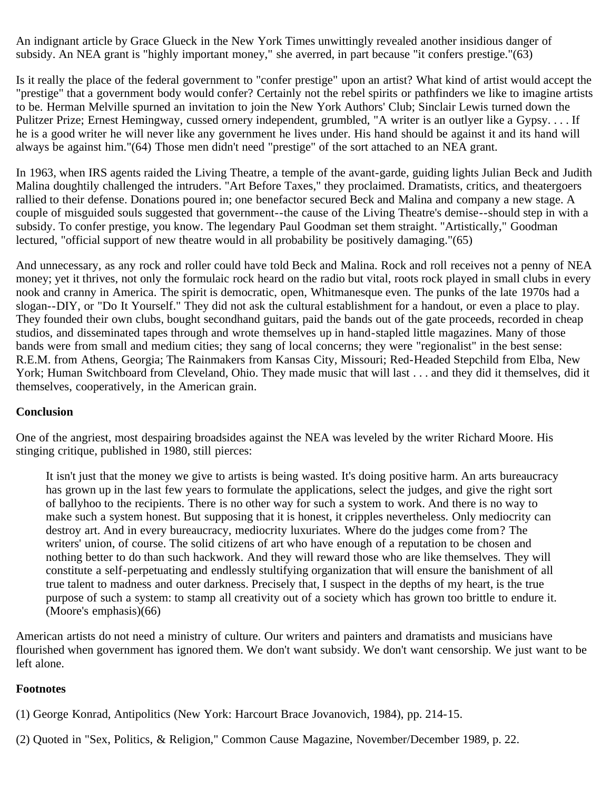An indignant article by Grace Glueck in the New York Times unwittingly revealed another insidious danger of subsidy. An NEA grant is "highly important money," she averred, in part because "it confers prestige."(63)

Is it really the place of the federal government to "confer prestige" upon an artist? What kind of artist would accept the "prestige" that a government body would confer? Certainly not the rebel spirits or pathfinders we like to imagine artists to be. Herman Melville spurned an invitation to join the New York Authors' Club; Sinclair Lewis turned down the Pulitzer Prize; Ernest Hemingway, cussed ornery independent, grumbled, "A writer is an outlyer like a Gypsy. . . . If he is a good writer he will never like any government he lives under. His hand should be against it and its hand will always be against him."(64) Those men didn't need "prestige" of the sort attached to an NEA grant.

In 1963, when IRS agents raided the Living Theatre, a temple of the avant-garde, guiding lights Julian Beck and Judith Malina doughtily challenged the intruders. "Art Before Taxes," they proclaimed. Dramatists, critics, and theatergoers rallied to their defense. Donations poured in; one benefactor secured Beck and Malina and company a new stage. A couple of misguided souls suggested that government--the cause of the Living Theatre's demise--should step in with a subsidy. To confer prestige, you know. The legendary Paul Goodman set them straight. "Artistically," Goodman lectured, "official support of new theatre would in all probability be positively damaging."(65)

And unnecessary, as any rock and roller could have told Beck and Malina. Rock and roll receives not a penny of NEA money; yet it thrives, not only the formulaic rock heard on the radio but vital, roots rock played in small clubs in every nook and cranny in America. The spirit is democratic, open, Whitmanesque even. The punks of the late 1970s had a slogan--DIY, or "Do It Yourself." They did not ask the cultural establishment for a handout, or even a place to play. They founded their own clubs, bought secondhand guitars, paid the bands out of the gate proceeds, recorded in cheap studios, and disseminated tapes through and wrote themselves up in hand-stapled little magazines. Many of those bands were from small and medium cities; they sang of local concerns; they were "regionalist" in the best sense: R.E.M. from Athens, Georgia; The Rainmakers from Kansas City, Missouri; Red-Headed Stepchild from Elba, New York; Human Switchboard from Cleveland, Ohio. They made music that will last . . . and they did it themselves, did it themselves, cooperatively, in the American grain.

#### **Conclusion**

One of the angriest, most despairing broadsides against the NEA was leveled by the writer Richard Moore. His stinging critique, published in 1980, still pierces:

It isn't just that the money we give to artists is being wasted. It's doing positive harm. An arts bureaucracy has grown up in the last few years to formulate the applications, select the judges, and give the right sort of ballyhoo to the recipients. There is no other way for such a system to work. And there is no way to make such a system honest. But supposing that it is honest, it cripples nevertheless. Only mediocrity can destroy art. And in every bureaucracy, mediocrity luxuriates. Where do the judges come from? The writers' union, of course. The solid citizens of art who have enough of a reputation to be chosen and nothing better to do than such hackwork. And they will reward those who are like themselves. They will constitute a self-perpetuating and endlessly stultifying organization that will ensure the banishment of all true talent to madness and outer darkness. Precisely that, I suspect in the depths of my heart, is the true purpose of such a system: to stamp all creativity out of a society which has grown too brittle to endure it. (Moore's emphasis)(66)

American artists do not need a ministry of culture. Our writers and painters and dramatists and musicians have flourished when government has ignored them. We don't want subsidy. We don't want censorship. We just want to be left alone.

#### **Footnotes**

(1) George Konrad, Antipolitics (New York: Harcourt Brace Jovanovich, 1984), pp. 214-15.

(2) Quoted in "Sex, Politics, & Religion," Common Cause Magazine, November/December 1989, p. 22.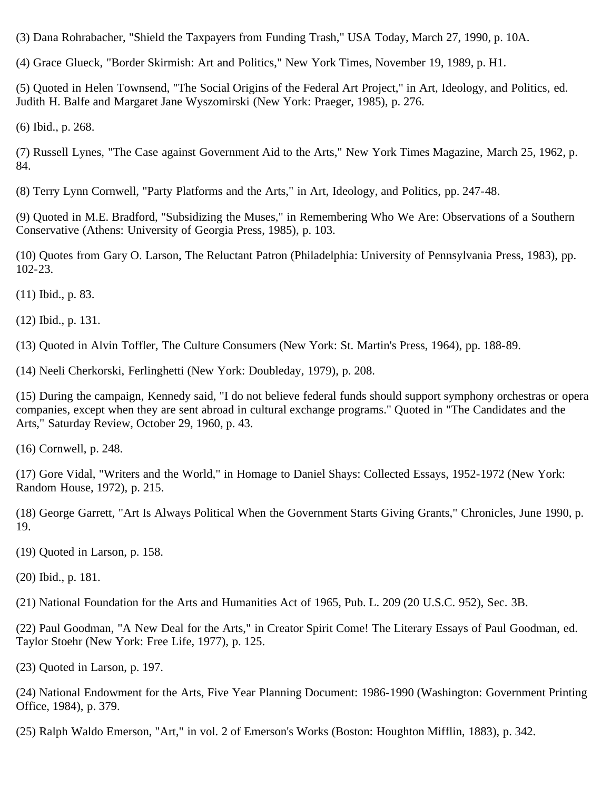(3) Dana Rohrabacher, "Shield the Taxpayers from Funding Trash," USA Today, March 27, 1990, p. 10A.

(4) Grace Glueck, "Border Skirmish: Art and Politics," New York Times, November 19, 1989, p. H1.

(5) Quoted in Helen Townsend, "The Social Origins of the Federal Art Project," in Art, Ideology, and Politics, ed. Judith H. Balfe and Margaret Jane Wyszomirski (New York: Praeger, 1985), p. 276.

(6) Ibid., p. 268.

(7) Russell Lynes, "The Case against Government Aid to the Arts," New York Times Magazine, March 25, 1962, p. 84.

(8) Terry Lynn Cornwell, "Party Platforms and the Arts," in Art, Ideology, and Politics, pp. 247-48.

(9) Quoted in M.E. Bradford, "Subsidizing the Muses," in Remembering Who We Are: Observations of a Southern Conservative (Athens: University of Georgia Press, 1985), p. 103.

(10) Quotes from Gary O. Larson, The Reluctant Patron (Philadelphia: University of Pennsylvania Press, 1983), pp. 102-23.

(11) Ibid., p. 83.

(12) Ibid., p. 131.

(13) Quoted in Alvin Toffler, The Culture Consumers (New York: St. Martin's Press, 1964), pp. 188-89.

(14) Neeli Cherkorski, Ferlinghetti (New York: Doubleday, 1979), p. 208.

(15) During the campaign, Kennedy said, "I do not believe federal funds should support symphony orchestras or opera companies, except when they are sent abroad in cultural exchange programs." Quoted in "The Candidates and the Arts," Saturday Review, October 29, 1960, p. 43.

(16) Cornwell, p. 248.

(17) Gore Vidal, "Writers and the World," in Homage to Daniel Shays: Collected Essays, 1952-1972 (New York: Random House, 1972), p. 215.

(18) George Garrett, "Art Is Always Political When the Government Starts Giving Grants," Chronicles, June 1990, p. 19.

(19) Quoted in Larson, p. 158.

(20) Ibid., p. 181.

(21) National Foundation for the Arts and Humanities Act of 1965, Pub. L. 209 (20 U.S.C. 952), Sec. 3B.

(22) Paul Goodman, "A New Deal for the Arts," in Creator Spirit Come! The Literary Essays of Paul Goodman, ed. Taylor Stoehr (New York: Free Life, 1977), p. 125.

(23) Quoted in Larson, p. 197.

(24) National Endowment for the Arts, Five Year Planning Document: 1986-1990 (Washington: Government Printing Office, 1984), p. 379.

(25) Ralph Waldo Emerson, "Art," in vol. 2 of Emerson's Works (Boston: Houghton Mifflin, 1883), p. 342.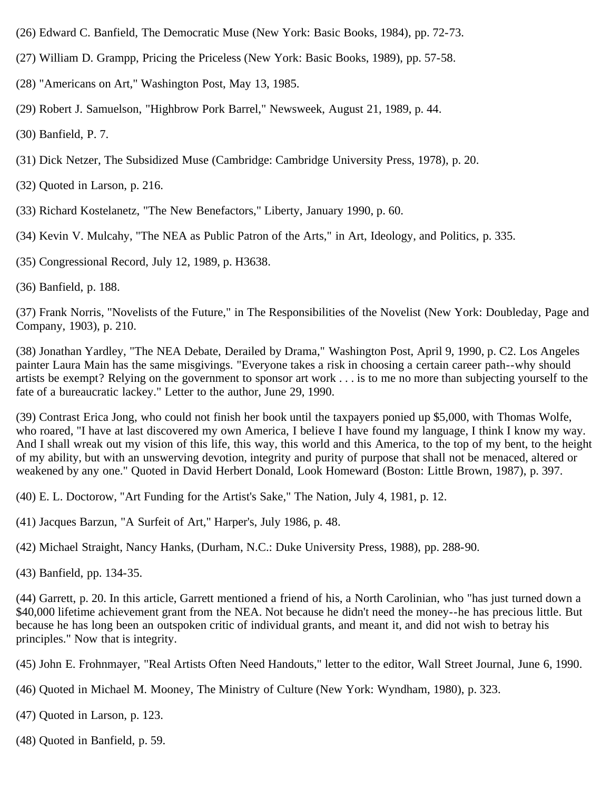- (26) Edward C. Banfield, The Democratic Muse (New York: Basic Books, 1984), pp. 72-73.
- (27) William D. Grampp, Pricing the Priceless (New York: Basic Books, 1989), pp. 57-58.
- (28) "Americans on Art," Washington Post, May 13, 1985.
- (29) Robert J. Samuelson, "Highbrow Pork Barrel," Newsweek, August 21, 1989, p. 44.

(30) Banfield, P. 7.

- (31) Dick Netzer, The Subsidized Muse (Cambridge: Cambridge University Press, 1978), p. 20.
- (32) Quoted in Larson, p. 216.
- (33) Richard Kostelanetz, "The New Benefactors," Liberty, January 1990, p. 60.
- (34) Kevin V. Mulcahy, "The NEA as Public Patron of the Arts," in Art, Ideology, and Politics, p. 335.
- (35) Congressional Record, July 12, 1989, p. H3638.
- (36) Banfield, p. 188.

(37) Frank Norris, "Novelists of the Future," in The Responsibilities of the Novelist (New York: Doubleday, Page and Company, 1903), p. 210.

(38) Jonathan Yardley, "The NEA Debate, Derailed by Drama," Washington Post, April 9, 1990, p. C2. Los Angeles painter Laura Main has the same misgivings. "Everyone takes a risk in choosing a certain career path--why should artists be exempt? Relying on the government to sponsor art work . . . is to me no more than subjecting yourself to the fate of a bureaucratic lackey." Letter to the author, June 29, 1990.

(39) Contrast Erica Jong, who could not finish her book until the taxpayers ponied up \$5,000, with Thomas Wolfe, who roared, "I have at last discovered my own America, I believe I have found my language, I think I know my way. And I shall wreak out my vision of this life, this way, this world and this America, to the top of my bent, to the height of my ability, but with an unswerving devotion, integrity and purity of purpose that shall not be menaced, altered or weakened by any one." Quoted in David Herbert Donald, Look Homeward (Boston: Little Brown, 1987), p. 397.

(40) E. L. Doctorow, "Art Funding for the Artist's Sake," The Nation, July 4, 1981, p. 12.

- (41) Jacques Barzun, "A Surfeit of Art," Harper's, July 1986, p. 48.
- (42) Michael Straight, Nancy Hanks, (Durham, N.C.: Duke University Press, 1988), pp. 288-90.
- (43) Banfield, pp. 134-35.

(44) Garrett, p. 20. In this article, Garrett mentioned a friend of his, a North Carolinian, who "has just turned down a \$40,000 lifetime achievement grant from the NEA. Not because he didn't need the money--he has precious little. But because he has long been an outspoken critic of individual grants, and meant it, and did not wish to betray his principles." Now that is integrity.

(45) John E. Frohnmayer, "Real Artists Often Need Handouts," letter to the editor, Wall Street Journal, June 6, 1990.

- (46) Quoted in Michael M. Mooney, The Ministry of Culture (New York: Wyndham, 1980), p. 323.
- (47) Quoted in Larson, p. 123.
- (48) Quoted in Banfield, p. 59.